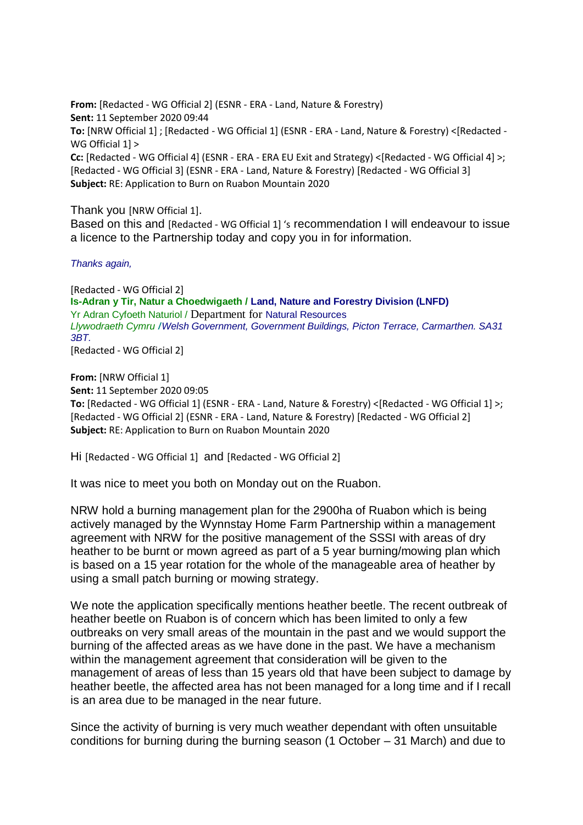**From:** [Redacted - WG Official 2] (ESNR - ERA - Land, Nature & Forestry) **Sent:** 11 September 2020 09:44 **To:** [NRW Official 1] ; [Redacted - WG Official 1] (ESNR - ERA - Land, Nature & Forestry) <[Redacted - WG Official 1] > **Cc:** [Redacted - WG Official 4] (ESNR - ERA - ERA EU Exit and Strategy) <[Redacted - WG Official 4] >; [Redacted - WG Official 3] (ESNR - ERA - Land, Nature & Forestry) [Redacted - WG Official 3] **Subject:** RE: Application to Burn on Ruabon Mountain 2020

Thank you [NRW Official 1].

Based on this and [Redacted - WG Official 1] 's recommendation I will endeavour to issue a licence to the Partnership today and copy you in for information.

*Thanks again,*

[Redacted - WG Official 2] **Is-Adran y Tir, Natur a Choedwigaeth / Land, Nature and Forestry Division (LNFD)** Yr Adran Cyfoeth Naturiol / Department for Natural Resources *Llywodraeth Cymru* **/***Welsh Government, Government Buildings, Picton Terrace, Carmarthen. SA31 3BT.*

[Redacted - WG Official 2]

**From:** [NRW Official 1] **Sent:** 11 September 2020 09:05 **To:** [Redacted - WG Official 1] (ESNR - ERA - Land, Nature & Forestry) <[Redacted - WG Official 1] >; [Redacted - WG Official 2] (ESNR - ERA - Land, Nature & Forestry) [Redacted - WG Official 2] **Subject:** RE: Application to Burn on Ruabon Mountain 2020

Hi [Redacted - WG Official 1] and [Redacted - WG Official 2]

It was nice to meet you both on Monday out on the Ruabon.

NRW hold a burning management plan for the 2900ha of Ruabon which is being actively managed by the Wynnstay Home Farm Partnership within a management agreement with NRW for the positive management of the SSSI with areas of dry heather to be burnt or mown agreed as part of a 5 year burning/mowing plan which is based on a 15 year rotation for the whole of the manageable area of heather by using a small patch burning or mowing strategy.

We note the application specifically mentions heather beetle. The recent outbreak of heather beetle on Ruabon is of concern which has been limited to only a few outbreaks on very small areas of the mountain in the past and we would support the burning of the affected areas as we have done in the past. We have a mechanism within the management agreement that consideration will be given to the management of areas of less than 15 years old that have been subject to damage by heather beetle, the affected area has not been managed for a long time and if I recall is an area due to be managed in the near future.

Since the activity of burning is very much weather dependant with often unsuitable conditions for burning during the burning season (1 October – 31 March) and due to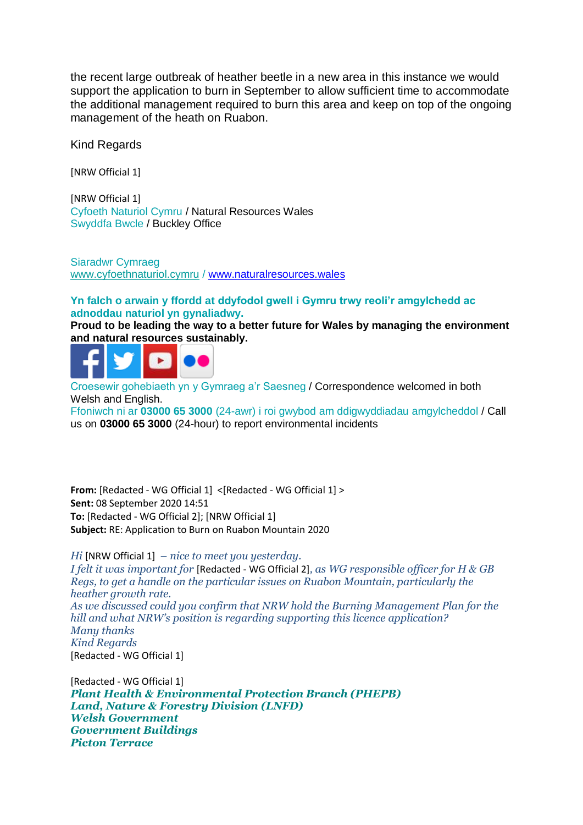the recent large outbreak of heather beetle in a new area in this instance we would support the application to burn in September to allow sufficient time to accommodate the additional management required to burn this area and keep on top of the ongoing management of the heath on Ruabon.

Kind Regards

[NRW Official 1]

[NRW Official 1] Cyfoeth Naturiol Cymru / Natural Resources Wales Swyddfa Bwcle / Buckley Office

Siaradwr Cymraeg [www.cyfoethnaturiol.cymru](https://eur01.safelinks.protection.outlook.com/?url=http%3A%2F%2Fwww.cyfoethnaturiol.cymru%2F%3Flang%3Dcy&data=02%7C01%7CGareth.Davies3%40gov.wales%7Cf732537e631a4af9af1508d856297155%7Ca2cc36c592804ae78887d06dab89216b%7C0%7C0%7C637354083285514879&sdata=qswDWO%2BQWkyiIF%2Bw%2BdID9T8r5cA7Rn0YkcKLcOXP9p0%3D&reserved=0) / [www.naturalresources.wales](https://eur01.safelinks.protection.outlook.com/?url=https%3A%2F%2Fwww.naturalresources.wales%2F%3Flang%3Den&data=02%7C01%7CGareth.Davies3%40gov.wales%7Cf732537e631a4af9af1508d856297155%7Ca2cc36c592804ae78887d06dab89216b%7C0%7C0%7C637354083285524846&sdata=SCLHykTMkuegrPsvzpX5jr6RXJFAkUKjZx%2FDXNnIqNw%3D&reserved=0)

## **Yn falch o arwain y ffordd at ddyfodol gwell i Gymru trwy reoli'r amgylchedd ac adnoddau naturiol yn gynaliadwy.**

**Proud to be leading the way to a better future for Wales by managing the environment and natural resources sustainably.** 



Croesewir gohebiaeth yn y Gymraeg a'r Saesneg / Correspondence welcomed in both Welsh and English.

Ffoniwch ni ar **03000 65 3000** (24-awr) i roi gwybod am ddigwyddiadau amgylcheddol / Call us on **03000 65 3000** (24-hour) to report environmental incidents

**From:** [Redacted - WG Official 1] <[Redacted - WG Official 1] > **Sent:** 08 September 2020 14:51 **To:** [Redacted - WG Official 2]; [NRW Official 1] **Subject:** RE: Application to Burn on Ruabon Mountain 2020

*Hi* [NRW Official 1] *– nice to meet you yesterday. I felt it was important for* [Redacted - WG Official 2]*, as WG responsible officer for H & GB Regs, to get a handle on the particular issues on Ruabon Mountain, particularly the heather growth rate.* 

*As we discussed could you confirm that NRW hold the Burning Management Plan for the hill and what NRW's position is regarding supporting this licence application? Many thanks Kind Regards* [Redacted - WG Official 1]

[Redacted - WG Official 1] *Plant Health & Environmental Protection Branch (PHEPB) Land, Nature & Forestry Division (LNFD) Welsh Government Government Buildings Picton Terrace*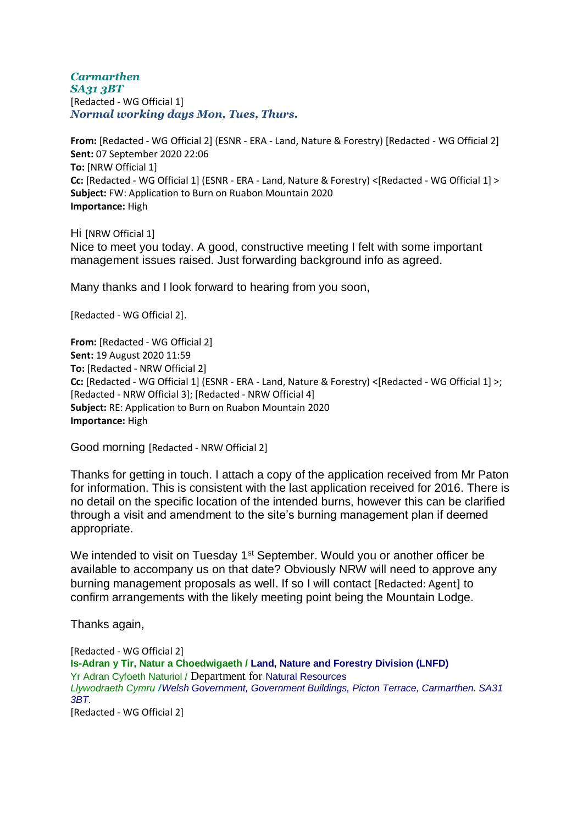*Carmarthen SA31 3BT* [Redacted - WG Official 1] *Normal working days Mon, Tues, Thurs.*

**From:** [Redacted - WG Official 2] (ESNR - ERA - Land, Nature & Forestry) [Redacted - WG Official 2] **Sent:** 07 September 2020 22:06 **To:** [NRW Official 1] **Cc:** [Redacted - WG Official 1] (ESNR - ERA - Land, Nature & Forestry) <[Redacted - WG Official 1] > **Subject:** FW: Application to Burn on Ruabon Mountain 2020 **Importance:** High

Hi [NRW Official 1] Nice to meet you today. A good, constructive meeting I felt with some important management issues raised. Just forwarding background info as agreed.

Many thanks and I look forward to hearing from you soon,

[Redacted - WG Official 2].

**From:** [Redacted - WG Official 2] **Sent:** 19 August 2020 11:59 **To:** [Redacted - NRW Official 2] **Cc:** [Redacted - WG Official 1] (ESNR - ERA - Land, Nature & Forestry) <[Redacted - WG Official 1] >; [Redacted - NRW Official 3]; [Redacted - NRW Official 4] **Subject:** RE: Application to Burn on Ruabon Mountain 2020 **Importance:** High

Good morning [Redacted - NRW Official 2]

Thanks for getting in touch. I attach a copy of the application received from Mr Paton for information. This is consistent with the last application received for 2016. There is no detail on the specific location of the intended burns, however this can be clarified through a visit and amendment to the site's burning management plan if deemed appropriate.

We intended to visit on Tuesday 1<sup>st</sup> September. Would you or another officer be available to accompany us on that date? Obviously NRW will need to approve any burning management proposals as well. If so I will contact [Redacted: Agent] to confirm arrangements with the likely meeting point being the Mountain Lodge.

Thanks again,

[Redacted - WG Official 2] **Is-Adran y Tir, Natur a Choedwigaeth / Land, Nature and Forestry Division (LNFD)** Yr Adran Cyfoeth Naturiol / Department for Natural Resources *Llywodraeth Cymru* **/***Welsh Government, Government Buildings, Picton Terrace, Carmarthen. SA31 3BT.* [Redacted - WG Official 2]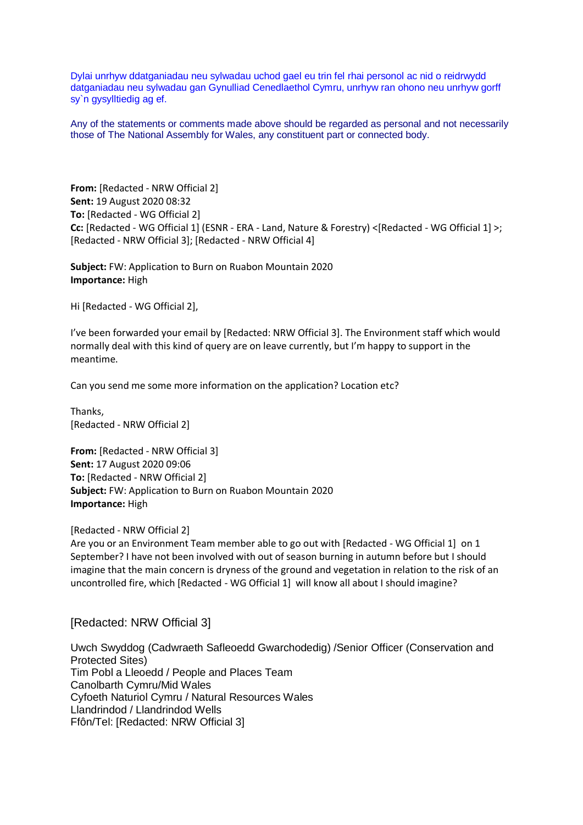Dylai unrhyw ddatganiadau neu sylwadau uchod gael eu trin fel rhai personol ac nid o reidrwydd datganiadau neu sylwadau gan Gynulliad Cenedlaethol Cymru, unrhyw ran ohono neu unrhyw gorff sy`n gysylltiedig ag ef.

Any of the statements or comments made above should be regarded as personal and not necessarily those of The National Assembly for Wales, any constituent part or connected body.

**From:** [Redacted - NRW Official 2] **Sent:** 19 August 2020 08:32 **To:** [Redacted - WG Official 2] **Cc:** [Redacted - WG Official 1] (ESNR - ERA - Land, Nature & Forestry) <[Redacted - WG Official 1] >; [Redacted - NRW Official 3]; [Redacted - NRW Official 4]

**Subject:** FW: Application to Burn on Ruabon Mountain 2020 **Importance:** High

Hi [Redacted - WG Official 2],

I've been forwarded your email by [Redacted: NRW Official 3]. The Environment staff which would normally deal with this kind of query are on leave currently, but I'm happy to support in the meantime.

Can you send me some more information on the application? Location etc?

Thanks, [Redacted - NRW Official 2]

**From:** [Redacted - NRW Official 3] **Sent:** 17 August 2020 09:06 **To:** [Redacted - NRW Official 2] **Subject:** FW: Application to Burn on Ruabon Mountain 2020 **Importance:** High

[Redacted - NRW Official 2]

Are you or an Environment Team member able to go out with [Redacted - WG Official 1] on 1 September? I have not been involved with out of season burning in autumn before but I should imagine that the main concern is dryness of the ground and vegetation in relation to the risk of an uncontrolled fire, which [Redacted - WG Official 1] will know all about I should imagine?

[Redacted: NRW Official 3]

Uwch Swyddog (Cadwraeth Safleoedd Gwarchodedig) /Senior Officer (Conservation and Protected Sites) Tim Pobl a Lleoedd / People and Places Team Canolbarth Cymru/Mid Wales Cyfoeth Naturiol Cymru / Natural Resources Wales Llandrindod / Llandrindod Wells Ffôn/Tel: [Redacted: NRW Official 3]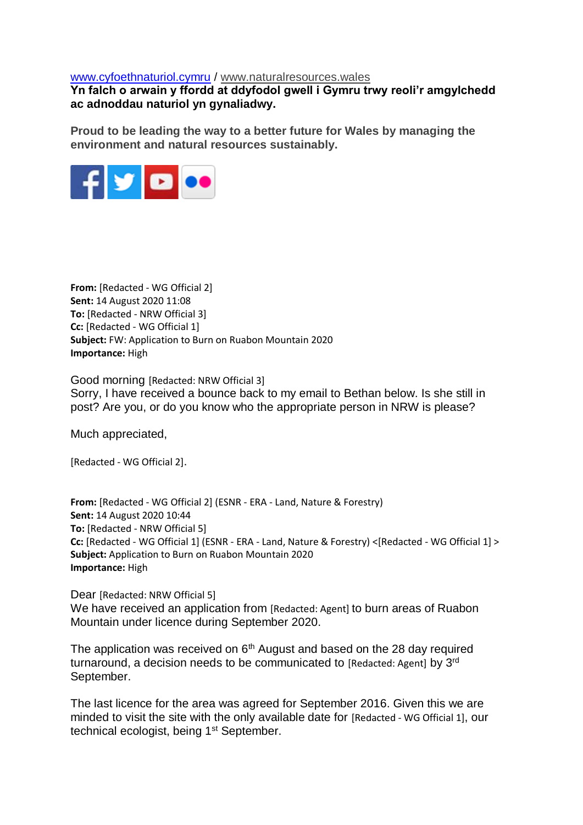## [www.cyfoethnaturiol.cymru](https://eur01.safelinks.protection.outlook.com/?url=http%3A%2F%2Fwww.cyfoethnaturiol.cymru%2F&data=02%7C01%7CGareth.Davies3%40gov.wales%7Cf732537e631a4af9af1508d856297155%7Ca2cc36c592804ae78887d06dab89216b%7C0%7C0%7C637354083285544755&sdata=Tl0ETk9cIrTIn0qrakoRd3PRkOJ6pUzfAt79jiS9ddE%3D&reserved=0) / [www.naturalresources.wales](https://eur01.safelinks.protection.outlook.com/?url=https%3A%2F%2Fwww.naturalresources.wales%2F%3Flang%3Den&data=02%7C01%7CGareth.Davies3%40gov.wales%7Cf732537e631a4af9af1508d856297155%7Ca2cc36c592804ae78887d06dab89216b%7C0%7C0%7C637354083285554714&sdata=ds%2Bh4mUHumjmZX4ZQIyGOhNx%2Fzr2uTwzDF8vmU9J70c%3D&reserved=0)

**Yn falch o arwain y ffordd at ddyfodol gwell i Gymru trwy reoli'r amgylchedd ac adnoddau naturiol yn gynaliadwy.** 

**Proud to be leading the way to a better future for Wales by managing the environment and natural resources sustainably.** 



**From:** [Redacted - WG Official 2] **Sent:** 14 August 2020 11:08 **To:** [Redacted - NRW Official 3] **Cc:** [Redacted - WG Official 1] **Subject:** FW: Application to Burn on Ruabon Mountain 2020 **Importance:** High

Good morning [Redacted: NRW Official 3] Sorry, I have received a bounce back to my email to Bethan below. Is she still in post? Are you, or do you know who the appropriate person in NRW is please?

Much appreciated,

[Redacted - WG Official 2].

**From:** [Redacted - WG Official 2] (ESNR - ERA - Land, Nature & Forestry) **Sent:** 14 August 2020 10:44 **To:** [Redacted - NRW Official 5] **Cc:** [Redacted - WG Official 1] (ESNR - ERA - Land, Nature & Forestry) <[Redacted - WG Official 1] > **Subject:** Application to Burn on Ruabon Mountain 2020 **Importance:** High

Dear [Redacted: NRW Official 5] We have received an application from [Redacted: Agent] to burn areas of Ruabon Mountain under licence during September 2020.

The application was received on  $6<sup>th</sup>$  August and based on the 28 day required turnaround, a decision needs to be communicated to [Redacted: Agent] by 3<sup>rd</sup> September.

The last licence for the area was agreed for September 2016. Given this we are minded to visit the site with the only available date for [Redacted - WG Official 1], our technical ecologist, being 1<sup>st</sup> September.